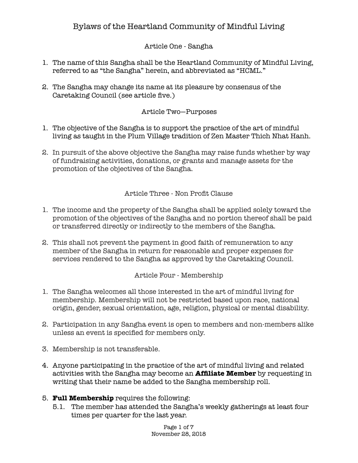## Article One - Sangha

- 1. The name of this Sangha shall be the Heartland Community of Mindful Living, referred to as "the Sangha" herein, and abbreviated as "HCML."
- 2. The Sangha may change its name at its pleasure by consensus of the Caretaking Council (see article five.)

#### Article Two—Purposes

- 1. The objective of the Sangha is to support the practice of the art of mindful living as taught in the Plum Village tradition of Zen Master Thich Nhat Hanh.
- 2. In pursuit of the above objective the Sangha may raise funds whether by way of fundraising activities, donations, or grants and manage assets for the promotion of the objectives of the Sangha.

Article Three - Non Profit Clause

- 1. The income and the property of the Sangha shall be applied solely toward the promotion of the objectives of the Sangha and no portion thereof shall be paid or transferred directly or indirectly to the members of the Sangha.
- 2. This shall not prevent the payment in good faith of remuneration to any member of the Sangha in return for reasonable and proper expenses for services rendered to the Sangha as approved by the Caretaking Council.

Article Four - Membership

- 1. The Sangha welcomes all those interested in the art of mindful living for membership. Membership will not be restricted based upon race, national origin, gender, sexual orientation, age, religion, physical or mental disability.
- 2. Participation in any Sangha event is open to members and non-members alike unless an event is specified for members only.
- 3. Membership is not transferable.
- 4. Anyone participating in the practice of the art of mindful living and related activities with the Sangha may become an **Affiliate Member** by requesting in writing that their name be added to the Sangha membership roll.
- 5. **Full Membership** requires the following:
	- 5.1. The member has attended the Sangha's weekly gatherings at least four times per quarter for the last year.

Page 1 of 7 November 28, 2018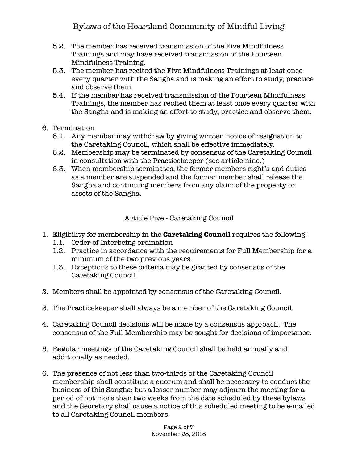- 5.2. The member has received transmission of the Five Mindfulness Trainings and may have received transmission of the Fourteen Mindfulness Training.
- 5.3. The member has recited the Five Mindfulness Trainings at least once every quarter with the Sangha and is making an effort to study, practice and observe them.
- 5.4. If the member has received transmission of the Fourteen Mindfulness Trainings, the member has recited them at least once every quarter with the Sangha and is making an effort to study, practice and observe them.
- 6. Termination
	- 6.1. Any member may withdraw by giving written notice of resignation to the Caretaking Council, which shall be effective immediately.
	- 6.2. Membership may be terminated by consensus of the Caretaking Council in consultation with the Practicekeeper (see article nine.)
	- 6.3. When membership terminates, the former members right's and duties as a member are suspended and the former member shall release the Sangha and continuing members from any claim of the property or assets of the Sangha.

Article Five - Caretaking Council

- 1. Eligibility for membership in the **Caretaking Council** requires the following:
	- 1.1. Order of Interbeing ordination
	- 1.2. Practice in accordance with the requirements for Full Membership for a minimum of the two previous years.
	- 1.3. Exceptions to these criteria may be granted by consensus of the Caretaking Council.
- 2. Members shall be appointed by consensus of the Caretaking Council.
- 3. The Practicekeeper shall always be a member of the Caretaking Council.
- 4. Caretaking Council decisions will be made by a consensus approach. The consensus of the Full Membership may be sought for decisions of importance.
- 5. Regular meetings of the Caretaking Council shall be held annually and additionally as needed.
- 6. The presence of not less than two-thirds of the Caretaking Council membership shall constitute a quorum and shall be necessary to conduct the business of this Sangha; but a lesser number may adjourn the meeting for a period of not more than two weeks from the date scheduled by these bylaws and the Secretary shall cause a notice of this scheduled meeting to be e-mailed to all Caretaking Council members.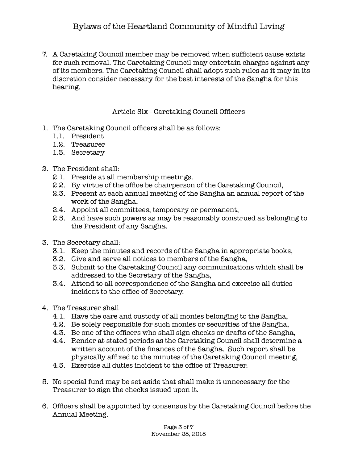7. A Caretaking Council member may be removed when sufficient cause exists for such removal. The Caretaking Council may entertain charges against any of its members. The Caretaking Council shall adopt such rules as it may in its discretion consider necessary for the best interests of the Sangha for this hearing.

#### Article Six - Caretaking Council Officers

- 1. The Caretaking Council officers shall be as follows:
	- 1.1. President
	- 1.2. Treasurer
	- 1.3. Secretary

#### 2. The President shall:

- 2.1. Preside at all membership meetings.
- 2.2. By virtue of the office be chairperson of the Caretaking Council,
- 2.3. Present at each annual meeting of the Sangha an annual report of the work of the Sangha,
- 2.4. Appoint all committees, temporary or permanent,
- 2.5. And have such powers as may be reasonably construed as belonging to the President of any Sangha.
- 3. The Secretary shall:
	- 3.1. Keep the minutes and records of the Sangha in appropriate books,
	- 3.2. Give and serve all notices to members of the Sangha,
	- 3.3. Submit to the Caretaking Council any communications which shall be addressed to the Secretary of the Sangha,
	- 3.4. Attend to all correspondence of the Sangha and exercise all duties incident to the office of Secretary.
- 4. The Treasurer shall
	- 4.1. Have the care and custody of all monies belonging to the Sangha,
	- 4.2. Be solely responsible for such monies or securities of the Sangha,
	- 4.3. Be one of the officers who shall sign checks or drafts of the Sangha,
	- 4.4. Render at stated periods as the Caretaking Council shall determine a written account of the finances of the Sangha. Such report shall be physically affixed to the minutes of the Caretaking Council meeting,
	- 4.5. Exercise all duties incident to the office of Treasurer.
- 5. No special fund may be set aside that shall make it unnecessary for the Treasurer to sign the checks issued upon it.
- 6. Officers shall be appointed by consensus by the Caretaking Council before the Annual Meeting.

Page 3 of 7 November 28, 2018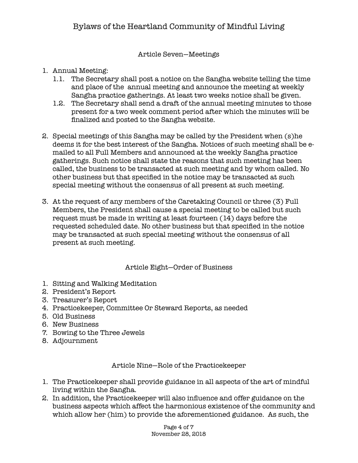#### Article Seven—Meetings

## 1. Annual Meeting:

- 1.1. The Secretary shall post a notice on the Sangha website telling the time and place of the annual meeting and announce the meeting at weekly Sangha practice gatherings. At least two weeks notice shall be given.
- 1.2. The Secretary shall send a draft of the annual meeting minutes to those present for a two week comment period after which the minutes will be finalized and posted to the Sangha website.
- 2. Special meetings of this Sangha may be called by the President when (s)he deems it for the best interest of the Sangha. Notices of such meeting shall be emailed to all Full Members and announced at the weekly Sangha practice gatherings. Such notice shall state the reasons that such meeting has been called, the business to be transacted at such meeting and by whom called. No other business but that specified in the notice may be transacted at such special meeting without the consensus of all present at such meeting.
- 3. At the request of any members of the Caretaking Council or three (3) Full Members, the President shall cause a special meeting to be called but such request must be made in writing at least fourteen (14) days before the requested scheduled date. No other business but that specified in the notice may be transacted at such special meeting without the consensus of all present at such meeting.

#### Article Eight—Order of Business

- 1. Sitting and Walking Meditation
- 2. President's Report
- 3. Treasurer's Report
- 4. Practicekeeper, Committee Or Steward Reports, as needed
- 5. Old Business
- 6. New Business
- 7. Bowing to the Three Jewels
- 8. Adjournment

Article Nine—Role of the Practicekeeper

- 1. The Practicekeeper shall provide guidance in all aspects of the art of mindful living within the Sangha.
- 2. In addition, the Practicekeeper will also influence and offer guidance on the business aspects which affect the harmonious existence of the community and which allow her (him) to provide the aforementioned guidance. As such, the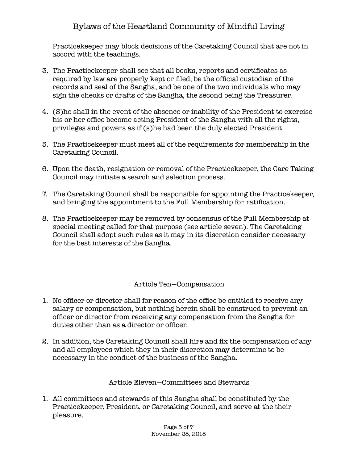Practicekeeper may block decisions of the Caretaking Council that are not in accord with the teachings.

- 3. The Practicekeeper shall see that all books, reports and certificates as required by law are properly kept or filed, be the official custodian of the records and seal of the Sangha, and be one of the two individuals who may sign the checks or drafts of the Sangha, the second being the Treasurer.
- 4. (S)he shall in the event of the absence or inability of the President to exercise his or her office become acting President of the Sangha with all the rights, privileges and powers as if (s)he had been the duly elected President.
- 5. The Practicekeeper must meet all of the requirements for membership in the Caretaking Council.
- 6. Upon the death, resignation or removal of the Practicekeeper, the Care Taking Council may initiate a search and selection process.
- 7. The Caretaking Council shall be responsible for appointing the Practicekeeper, and bringing the appointment to the Full Membership for ratification.
- 8. The Practicekeeper may be removed by consensus of the Full Membership at special meeting called for that purpose (see article seven). The Caretaking Council shall adopt such rules as it may in its discretion consider necessary for the best interests of the Sangha.

## Article Ten—Compensation

- 1. No officer or director shall for reason of the office be entitled to receive any salary or compensation, but nothing herein shall be construed to prevent an officer or director from receiving any compensation from the Sangha for duties other than as a director or officer.
- 2. In addition, the Caretaking Council shall hire and fix the compensation of any and all employees which they in their discretion may determine to be necessary in the conduct of the business of the Sangha.

#### Article Eleven—Committees and Stewards

1. All committees and stewards of this Sangha shall be constituted by the Practicekeeper, President, or Caretaking Council, and serve at the their pleasure.

> Page 5 of 7 November 28, 2018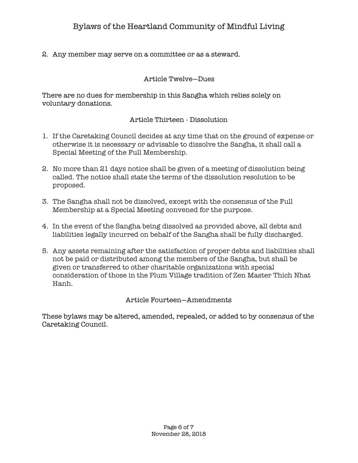2. Any member may serve on a committee or as a steward.

#### Article Twelve—Dues

There are no dues for membership in this Sangha which relies solely on voluntary donations.

#### Article Thirteen - Dissolution

- 1. If the Caretaking Council decides at any time that on the ground of expense or otherwise it is necessary or advisable to dissolve the Sangha, it shall call a Special Meeting of the Full Membership.
- 2. No more than 21 days notice shall be given of a meeting of dissolution being called. The notice shall state the terms of the dissolution resolution to be proposed.
- 3. The Sangha shall not be dissolved, except with the consensus of the Full Membership at a Special Meeting convened for the purpose.
- 4. In the event of the Sangha being dissolved as provided above, all debts and liabilities legally incurred on behalf of the Sangha shall be fully discharged.
- 5. Any assets remaining after the satisfaction of proper debts and liabilities shall not be paid or distributed among the members of the Sangha, but shall be given or transferred to other charitable organizations with special consideration of those in the Plum Village tradition of Zen Master Thich Nhat Hanh.

## Article Fourteen—Amendments

These bylaws may be altered, amended, repealed, or added to by consensus of the Caretaking Council.